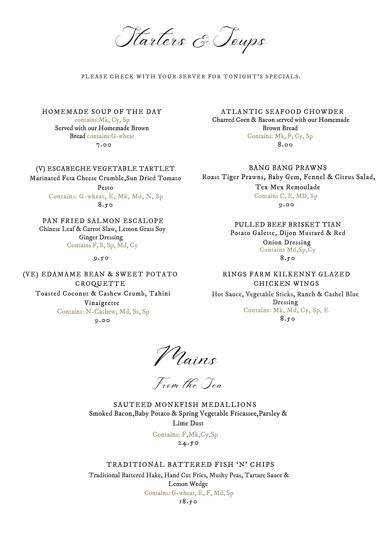Starters & Soups

#### PLEASE CHECK WITH YOUR SERVER FOR TONIGHT'S SPECIALS.

Mains

Hot Sauce, Vegetable Sticks, Ranch & Cashel Blue Dressing Contains: Mk, Md, Cy, Sp, E 8.50

### TRADITIONAL BATTERED FISH 'N' CHIPS

Traditional Battered Hake, Hand Cut Fries, Mushy Peas, Tartare Sauce & Lemon Wedge Contains: G-wheat, E, F, Md, Sp 18.50

From the Sea

#### 9.50

# (V) ESCABECHE VEGETABLE TARTLET

8.50 Pesto Contains: G-wheat, E, Mk, Md, N, Sp

Marinated Feta Cheese Crumble,Sun Dried Tomato

8.50 Potato Galette, Dijon Mustard & Red Onion Dressing Contains Md,Sp,Cy

9.00 Toasted Coconut & Cashew Crumb, Tahini Vinaigrette Contains: N-Cashew, Md, Ss, Sp

PULLED BEEF BRISKET TIAN

24.50 Contains: F,Mk,Cy,Sp

## (VE) EDAMAME BEAN & SWEET POTATO CROQUETTE

9.00 BANG BANG PRAWNS Roast Tiger Prawns, Baby Gem, Fennel & Citrus Salad, Tex Mex Remoulade Contains C, E, MD, Sp

Chinese Leaf & Carrot Slaw, Lemon Grass Soy Ginger Dressing Contains F, S, Sp, Md, Cy

## PAN FRIED SALMON ESCALOPE

### HOMEMADE SOUP OF THE DAY

contains:Mk, Cy, Sp Served with our Homemade Brown Bread contains:G-wheat

> Smoked Bacon,Baby Potato & Spring Vegetable Fricassee,Parsley & Lime Dust SAUTEED MONKFISH MEDALLIONS

7.00

#### ATLANTIC SEAFOOD CHOWDER

Charred Corn & Bacon served with our Homemade Brown Bread Contains: Mk, F, Cy, Sp 8.00

## RINGS FARM KILKENNY GLAZED CHICKEN WINGS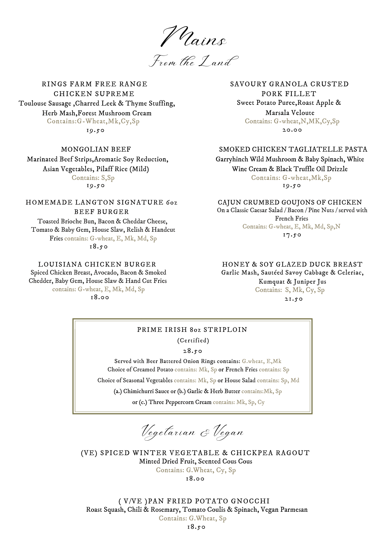LOUISIANA CHICKEN BURGER Spiced Chicken Breast, Avocado, Bacon & Smoked Chedder, Baby Gem, House Slaw & Hand Cut Fries contains: G-wheat, E, Mk, Md, Sp

Mains

From the Land

#### CAJUN CRUMBED GOUJONS OF CHICKEN

HOMEMADE LANGTON SIGNATURE 6oz BEEF BURGER Toasted Brioche Bun, Bacon & Cheddar Cheese, Tomato & Baby Gem, House Slaw, Relish & Handcut Fries contains: G-wheat, E, Mk, Md, Sp 18.50

On a Classic Caesar Salad / Bacon / Pine Nuts / served with French Fries Contains: G-wheat, E, Mk, Md, Sp,N 17.50

Choice of Creamed Potato contains: Mk, Sp or French Fries contains: Sp Choice of Seasonal Vegetables contains: Mk, Sp or House Salad contains: Sp, Md (a.) Chimichurri Sauce or (b.) Garlic & Herb Butter contains:Mk, Sp Served with Beer Battered Onion Rings contains: G.wheat, E,Mk

or (c.) Three Peppercorn Cream contains: Mk, Sp, Cy

# PRIME IRISH 8oz STRIPLOIN

Vegetarian & Vegan

28.50

(Certified)

18.00 (VE) SPICED WINTER VEGETABLE & CHICKPEA RAGOUT Minted Dried Fruit, Scented Cous Cous Contains: G.Wheat, Cy, Sp

RINGS FARM FREE RANGE CHICKEN SUPREME Toulouse Sausage ,Charred Leek & Thyme Stuffing, Herb Mash,Forest Mushroom Cream Contains:G-Wheat,Mk,Cy,Sp

19.50

SAVOURY GRANOLA CRUSTED PORK FILLET Sweet Potato Puree,Roast Apple & Marsala Veloute Contains: G-wheat,N,MK,Cy,Sp 20.00

MONGOLIAN BEEF Marinated Beef Strips,Aromatic Soy Reduction, Asian Vegetables, Pilaff Rice (Mild) Contains: S,Sp 19.50

## SMOKED CHICKEN TAGLIATELLE PASTA

Garryhinch Wild Mushroom & Baby Spinach, White Wine Cream & Black Truffle Oil Drizzle Contains: G-wheat,Mk,Sp 19.50

# HONEY & SOY GLAZED DUCK BREAST

Garlic Mash, Sautéed Savoy Cabbage & Celeriac,

Kumquat & Juniper Jus Contains: S, Mk, Cy, Sp

( V/VE )PAN FRIED POTATO GNOCCHI Roast Squash, Chili & Rosemary, Tomato Coulis & Spinach, Vegan Parmesan Contains: G.Wheat, Sp

18.50